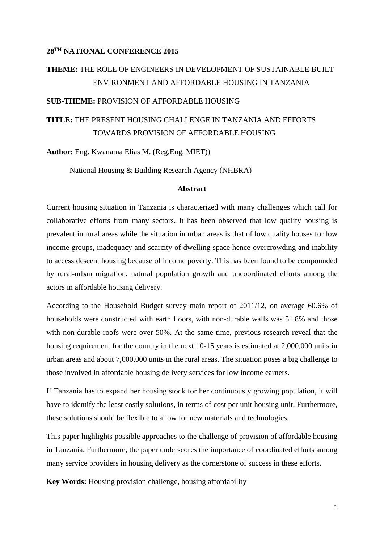### **28TH NATIONAL CONFERENCE 2015**

# **THEME:** THE ROLE OF ENGINEERS IN DEVELOPMENT OF SUSTAINABLE BUILT ENVIRONMENT AND AFFORDABLE HOUSING IN TANZANIA

#### **SUB-THEME:** PROVISION OF AFFORDABLE HOUSING

# **TITLE:** THE PRESENT HOUSING CHALLENGE IN TANZANIA AND EFFORTS TOWARDS PROVISION OF AFFORDABLE HOUSING

**Author:** Eng. Kwanama Elias M. (Reg.Eng, MIET))

National Housing & Building Research Agency (NHBRA)

### **Abstract**

Current housing situation in Tanzania is characterized with many challenges which call for collaborative efforts from many sectors. It has been observed that low quality housing is prevalent in rural areas while the situation in urban areas is that of low quality houses for low income groups, inadequacy and scarcity of dwelling space hence overcrowding and inability to access descent housing because of income poverty. This has been found to be compounded by rural-urban migration, natural population growth and uncoordinated efforts among the actors in affordable housing delivery.

According to the Household Budget survey main report of 2011/12, on average 60.6% of households were constructed with earth floors, with non-durable walls was 51.8% and those with non-durable roofs were over 50%. At the same time, previous research reveal that the housing requirement for the country in the next 10-15 years is estimated at 2,000,000 units in urban areas and about 7,000,000 units in the rural areas. The situation poses a big challenge to those involved in affordable housing delivery services for low income earners.

If Tanzania has to expand her housing stock for her continuously growing population, it will have to identify the least costly solutions, in terms of cost per unit housing unit. Furthermore, these solutions should be flexible to allow for new materials and technologies.

This paper highlights possible approaches to the challenge of provision of affordable housing in Tanzania. Furthermore, the paper underscores the importance of coordinated efforts among many service providers in housing delivery as the cornerstone of success in these efforts.

**Key Words:** Housing provision challenge, housing affordability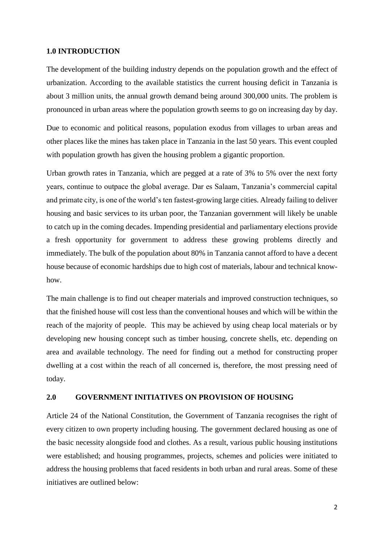#### **1.0 INTRODUCTION**

The development of the building industry depends on the population growth and the effect of urbanization. According to the available statistics the current housing deficit in Tanzania is about 3 million units, the annual growth demand being around 300,000 units. The problem is pronounced in urban areas where the population growth seems to go on increasing day by day.

Due to economic and political reasons, population exodus from villages to urban areas and other places like the mines has taken place in Tanzania in the last 50 years. This event coupled with population growth has given the housing problem a gigantic proportion.

Urban growth rates in Tanzania, which are pegged at a rate of 3% to 5% over the next forty years, continue to outpace the global average. Dar es Salaam, Tanzania's commercial capital and primate city, is one of the world's ten fastest-growing large cities. Already failing to deliver housing and basic services to its urban poor, the Tanzanian government will likely be unable to catch up in the coming decades. Impending presidential and parliamentary elections provide a fresh opportunity for government to address these growing problems directly and immediately. The bulk of the population about 80% in Tanzania cannot afford to have a decent house because of economic hardships due to high cost of materials, labour and technical knowhow.

The main challenge is to find out cheaper materials and improved construction techniques, so that the finished house will cost less than the conventional houses and which will be within the reach of the majority of people. This may be achieved by using cheap local materials or by developing new housing concept such as timber housing, concrete shells, etc. depending on area and available technology. The need for finding out a method for constructing proper dwelling at a cost within the reach of all concerned is, therefore, the most pressing need of today.

#### **2.0 GOVERNMENT INITIATIVES ON PROVISION OF HOUSING**

Article 24 of the National Constitution, the Government of Tanzania recognises the right of every citizen to own property including housing. The government declared housing as one of the basic necessity alongside food and clothes. As a result, various public housing institutions were established; and housing programmes, projects, schemes and policies were initiated to address the housing problems that faced residents in both urban and rural areas. Some of these initiatives are outlined below: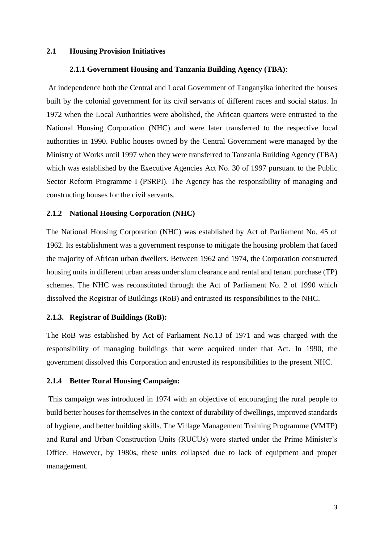#### **2.1 Housing Provision Initiatives**

### **2.1.1 Government Housing and Tanzania Building Agency (TBA)**:

At independence both the Central and Local Government of Tanganyika inherited the houses built by the colonial government for its civil servants of different races and social status. In 1972 when the Local Authorities were abolished, the African quarters were entrusted to the National Housing Corporation (NHC) and were later transferred to the respective local authorities in 1990. Public houses owned by the Central Government were managed by the Ministry of Works until 1997 when they were transferred to Tanzania Building Agency (TBA) which was established by the Executive Agencies Act No. 30 of 1997 pursuant to the Public Sector Reform Programme I (PSRPI). The Agency has the responsibility of managing and constructing houses for the civil servants.

#### **2.1.2 National Housing Corporation (NHC)**

The National Housing Corporation (NHC) was established by Act of Parliament No. 45 of 1962. Its establishment was a government response to mitigate the housing problem that faced the majority of African urban dwellers. Between 1962 and 1974, the Corporation constructed housing units in different urban areas under slum clearance and rental and tenant purchase (TP) schemes. The NHC was reconstituted through the Act of Parliament No. 2 of 1990 which dissolved the Registrar of Buildings (RoB) and entrusted its responsibilities to the NHC.

#### **2.1.3. Registrar of Buildings (RoB):**

The RoB was established by Act of Parliament No.13 of 1971 and was charged with the responsibility of managing buildings that were acquired under that Act. In 1990, the government dissolved this Corporation and entrusted its responsibilities to the present NHC.

### **2.1.4 Better Rural Housing Campaign:**

This campaign was introduced in 1974 with an objective of encouraging the rural people to build better houses for themselves in the context of durability of dwellings, improved standards of hygiene, and better building skills. The Village Management Training Programme (VMTP) and Rural and Urban Construction Units (RUCUs) were started under the Prime Minister's Office. However, by 1980s, these units collapsed due to lack of equipment and proper management.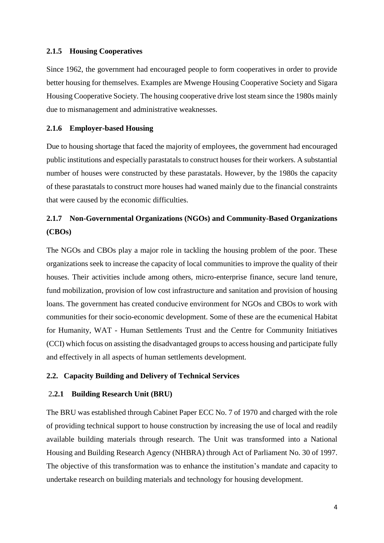### **2.1.5 Housing Cooperatives**

Since 1962, the government had encouraged people to form cooperatives in order to provide better housing for themselves. Examples are Mwenge Housing Cooperative Society and Sigara Housing Cooperative Society. The housing cooperative drive lost steam since the 1980s mainly due to mismanagement and administrative weaknesses.

# **2.1.6 Employer-based Housing**

Due to housing shortage that faced the majority of employees, the government had encouraged public institutions and especially parastatals to construct houses for their workers. A substantial number of houses were constructed by these parastatals. However, by the 1980s the capacity of these parastatals to construct more houses had waned mainly due to the financial constraints that were caused by the economic difficulties.

# **2.1.7 Non-Governmental Organizations (NGOs) and Community-Based Organizations (CBOs)**

The NGOs and CBOs play a major role in tackling the housing problem of the poor. These organizations seek to increase the capacity of local communities to improve the quality of their houses. Their activities include among others, micro-enterprise finance, secure land tenure, fund mobilization, provision of low cost infrastructure and sanitation and provision of housing loans. The government has created conducive environment for NGOs and CBOs to work with communities for their socio-economic development. Some of these are the ecumenical Habitat for Humanity, WAT - Human Settlements Trust and the Centre for Community Initiatives (CCI) which focus on assisting the disadvantaged groups to access housing and participate fully and effectively in all aspects of human settlements development.

# **2.2. Capacity Building and Delivery of Technical Services**

# 2**.2.1 Building Research Unit (BRU)**

The BRU was established through Cabinet Paper ECC No. 7 of 1970 and charged with the role of providing technical support to house construction by increasing the use of local and readily available building materials through research. The Unit was transformed into a National Housing and Building Research Agency (NHBRA) through Act of Parliament No. 30 of 1997. The objective of this transformation was to enhance the institution's mandate and capacity to undertake research on building materials and technology for housing development.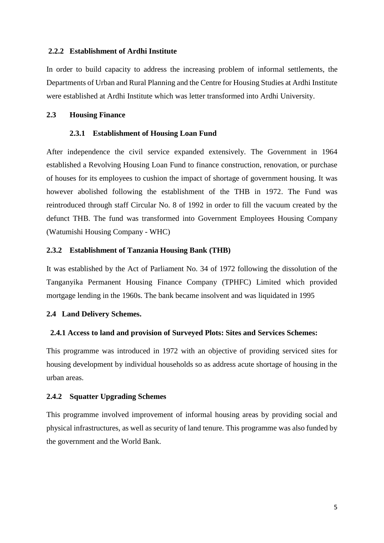### **2.2.2 Establishment of Ardhi Institute**

In order to build capacity to address the increasing problem of informal settlements, the Departments of Urban and Rural Planning and the Centre for Housing Studies at Ardhi Institute were established at Ardhi Institute which was letter transformed into Ardhi University.

#### **2.3 Housing Finance**

#### **2.3.1 Establishment of Housing Loan Fund**

After independence the civil service expanded extensively. The Government in 1964 established a Revolving Housing Loan Fund to finance construction, renovation, or purchase of houses for its employees to cushion the impact of shortage of government housing. It was however abolished following the establishment of the THB in 1972. The Fund was reintroduced through staff Circular No. 8 of 1992 in order to fill the vacuum created by the defunct THB. The fund was transformed into Government Employees Housing Company (Watumishi Housing Company - WHC)

## **2.3.2 Establishment of Tanzania Housing Bank (THB)**

It was established by the Act of Parliament No. 34 of 1972 following the dissolution of the Tanganyika Permanent Housing Finance Company (TPHFC) Limited which provided mortgage lending in the 1960s. The bank became insolvent and was liquidated in 1995

#### **2.4 Land Delivery Schemes.**

#### **2.4.1 Access to land and provision of Surveyed Plots: Sites and Services Schemes:**

This programme was introduced in 1972 with an objective of providing serviced sites for housing development by individual households so as address acute shortage of housing in the urban areas.

#### **2.4.2 Squatter Upgrading Schemes**

This programme involved improvement of informal housing areas by providing social and physical infrastructures, as well as security of land tenure. This programme was also funded by the government and the World Bank.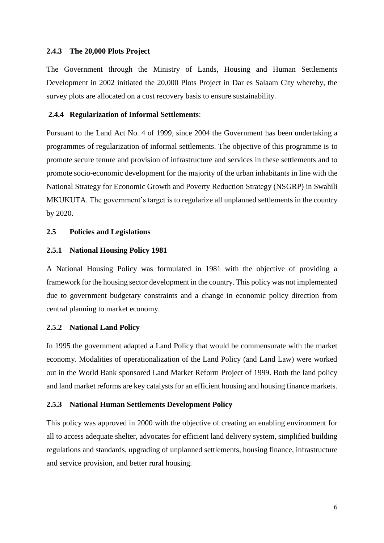### **2.4.3 The 20,000 Plots Project**

The Government through the Ministry of Lands, Housing and Human Settlements Development in 2002 initiated the 20,000 Plots Project in Dar es Salaam City whereby, the survey plots are allocated on a cost recovery basis to ensure sustainability.

#### **2.4.4 Regularization of Informal Settlements**:

Pursuant to the Land Act No. 4 of 1999, since 2004 the Government has been undertaking a programmes of regularization of informal settlements. The objective of this programme is to promote secure tenure and provision of infrastructure and services in these settlements and to promote socio-economic development for the majority of the urban inhabitants in line with the National Strategy for Economic Growth and Poverty Reduction Strategy (NSGRP) in Swahili MKUKUTA. The government's target is to regularize all unplanned settlements in the country by 2020.

## **2.5 Policies and Legislations**

### **2.5.1 National Housing Policy 1981**

A National Housing Policy was formulated in 1981 with the objective of providing a framework for the housing sector development in the country. This policy was not implemented due to government budgetary constraints and a change in economic policy direction from central planning to market economy.

#### **2.5.2 National Land Policy**

In 1995 the government adapted a Land Policy that would be commensurate with the market economy. Modalities of operationalization of the Land Policy (and Land Law) were worked out in the World Bank sponsored Land Market Reform Project of 1999. Both the land policy and land market reforms are key catalysts for an efficient housing and housing finance markets.

### **2.5.3 National Human Settlements Development Policy**

This policy was approved in 2000 with the objective of creating an enabling environment for all to access adequate shelter, advocates for efficient land delivery system, simplified building regulations and standards, upgrading of unplanned settlements, housing finance, infrastructure and service provision, and better rural housing.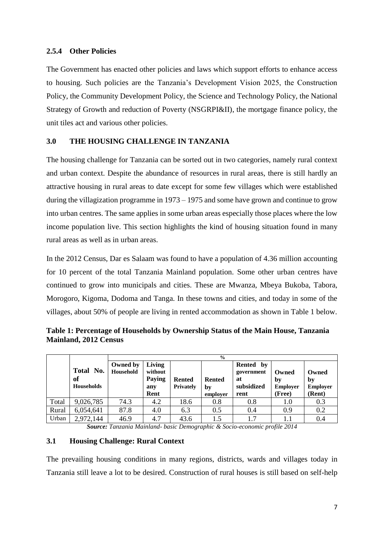# **2.5.4 Other Policies**

The Government has enacted other policies and laws which support efforts to enhance access to housing. Such policies are the Tanzania's Development Vision 2025, the Construction Policy, the Community Development Policy, the Science and Technology Policy, the National Strategy of Growth and reduction of Poverty (NSGRPI&II), the mortgage finance policy, the unit tiles act and various other policies.

# **3.0 THE HOUSING CHALLENGE IN TANZANIA**

The housing challenge for Tanzania can be sorted out in two categories, namely rural context and urban context. Despite the abundance of resources in rural areas, there is still hardly an attractive housing in rural areas to date except for some few villages which were established during the villagization programme in 1973 – 1975 and some have grown and continue to grow into urban centres. The same applies in some urban areas especially those places where the low income population live. This section highlights the kind of housing situation found in many rural areas as well as in urban areas.

In the 2012 Census, Dar es Salaam was found to have a population of 4.36 million accounting for 10 percent of the total Tanzania Mainland population. Some other urban centres have continued to grow into municipals and cities. These are Mwanza, Mbeya Bukoba, Tabora, Morogoro, Kigoma, Dodoma and Tanga. In these towns and cities, and today in some of the villages, about 50% of people are living in rented accommodation as shown in Table 1 below.

|       |                                      | $\frac{6}{9}$         |                                            |                            |                                 |                                                        |                                   |                                          |
|-------|--------------------------------------|-----------------------|--------------------------------------------|----------------------------|---------------------------------|--------------------------------------------------------|-----------------------------------|------------------------------------------|
|       | Total No.<br>of<br><b>Households</b> | Owned by<br>Household | Living<br>without<br>Paying<br>any<br>Rent | <b>Rented</b><br>Privately | <b>Rented</b><br>bv<br>employer | Rented<br>by<br>government<br>at<br>subsidized<br>rent | Owned<br>by<br>Employer<br>(Free) | Owned<br>by<br><b>Employer</b><br>(Rent) |
| Total | 9,026,785                            | 74.3                  | 4.2                                        | 18.6                       | 0.8                             | 0.8                                                    | 1.0                               | 0.3                                      |
| Rural | 6,054,641                            | 87.8                  | 4.0                                        | 6.3                        | 0.5                             | 0.4                                                    | 0.9                               | 0.2                                      |
| Urban | 2,972,144                            | 46.9                  | 4.7                                        | 43.6                       | 1.5                             | 1.7                                                    |                                   | 0.4                                      |

**Table 1: Percentage of Households by Ownership Status of the Main House, Tanzania Mainland, 2012 Census** 

*Source: Tanzania Mainland- basic Demographic & Socio-economic profile 2014*

### **3.1 Housing Challenge: Rural Context**

The prevailing housing conditions in many regions, districts, wards and villages today in Tanzania still leave a lot to be desired. Construction of rural houses is still based on self-help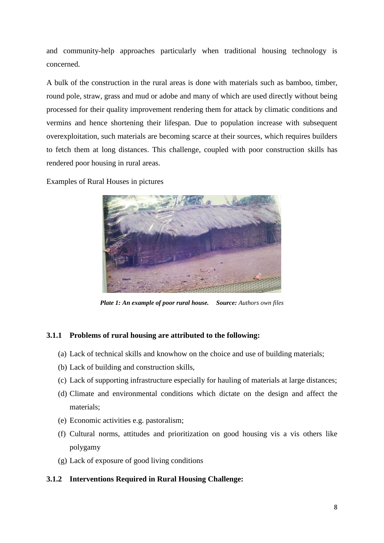and community-help approaches particularly when traditional housing technology is concerned.

A bulk of the construction in the rural areas is done with materials such as bamboo, timber, round pole, straw, grass and mud or adobe and many of which are used directly without being processed for their quality improvement rendering them for attack by climatic conditions and vermins and hence shortening their lifespan. Due to population increase with subsequent overexploitation, such materials are becoming scarce at their sources, which requires builders to fetch them at long distances. This challenge, coupled with poor construction skills has rendered poor housing in rural areas.

Examples of Rural Houses in pictures



*Plate 1: An example of poor rural house. Source: Authors own files*

# **3.1.1 Problems of rural housing are attributed to the following:**

- (a) Lack of technical skills and knowhow on the choice and use of building materials;
- (b) Lack of building and construction skills,
- (c) Lack of supporting infrastructure especially for hauling of materials at large distances;
- (d) Climate and environmental conditions which dictate on the design and affect the materials;
- (e) Economic activities e.g. pastoralism;
- (f) Cultural norms, attitudes and prioritization on good housing vis a vis others like polygamy
- (g) Lack of exposure of good living conditions

# **3.1.2 Interventions Required in Rural Housing Challenge:**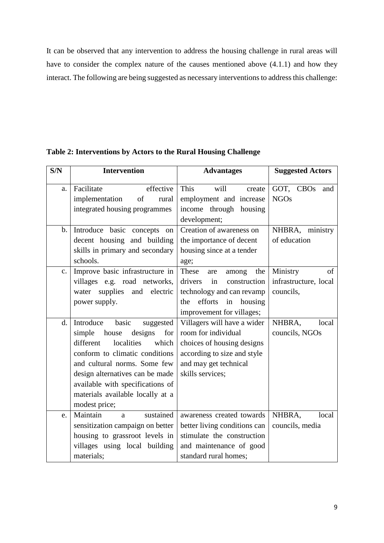It can be observed that any intervention to address the housing challenge in rural areas will have to consider the complex nature of the causes mentioned above (4.1.1) and how they interact. The following are being suggested as necessary interventions to address this challenge:

| S/N            | <b>Intervention</b>                                                                                                                                                                                                                                                                                    | <b>Advantages</b>                                                                                                                                            | <b>Suggested Actors</b>                              |  |
|----------------|--------------------------------------------------------------------------------------------------------------------------------------------------------------------------------------------------------------------------------------------------------------------------------------------------------|--------------------------------------------------------------------------------------------------------------------------------------------------------------|------------------------------------------------------|--|
| a.             | Facilitate<br>effective<br>implementation<br>of<br>rural<br>integrated housing programmes                                                                                                                                                                                                              | This<br>will<br>create<br>employment and increase<br>income through housing<br>development;                                                                  | GOT, CBOs<br>and<br><b>NGOs</b>                      |  |
| $\mathbf{b}$ . | Introduce basic concepts<br>on<br>decent housing and building<br>skills in primary and secondary<br>schools.                                                                                                                                                                                           | Creation of awareness on<br>the importance of decent<br>housing since at a tender<br>age;                                                                    | NHBRA, ministry<br>of education                      |  |
| $C_{\bullet}$  | Improve basic infrastructure in<br>villages e.g. road networks,<br>supplies and<br>water<br>electric<br>power supply.                                                                                                                                                                                  | These<br>the<br>among<br>are<br>drivers<br>in<br>construction<br>technology and can revamp<br>efforts<br>housing<br>in<br>the<br>improvement for villages;   | Ministry<br>of<br>infrastructure, local<br>councils, |  |
| d.             | Introduce<br>basic<br>suggested<br>simple<br>designs<br>for<br>house<br>localities<br>different<br>which<br>conform to climatic conditions<br>and cultural norms. Some few<br>design alternatives can be made<br>available with specifications of<br>materials available locally at a<br>modest price; | Villagers will have a wider<br>room for individual<br>choices of housing designs<br>according to size and style<br>and may get technical<br>skills services; | NHBRA.<br>local<br>councils, NGOs                    |  |
| e.             | Maintain<br>sustained<br>a<br>sensitization campaign on better<br>housing to grassroot levels in<br>villages using local building<br>materials;                                                                                                                                                        | awareness created towards<br>better living conditions can<br>stimulate the construction<br>and maintenance of good<br>standard rural homes;                  | NHBRA.<br>local<br>councils, media                   |  |

**Table 2: Interventions by Actors to the Rural Housing Challenge**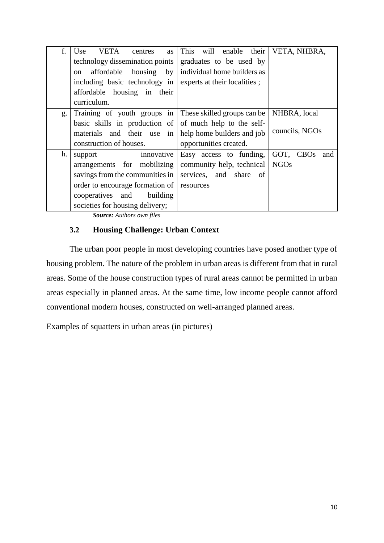| f. | Use<br>VETA<br>centres<br><b>as</b> | This will enable their       | VETA, NHBRA,     |
|----|-------------------------------------|------------------------------|------------------|
|    | technology dissemination points     | graduates to be used by      |                  |
|    | affordable housing<br>by<br>on      | individual home builders as  |                  |
|    | including basic technology in       | experts at their localities; |                  |
|    | affordable housing in their         |                              |                  |
|    | curriculum.                         |                              |                  |
| g. | Training of youth groups in         | These skilled groups can be  | NHBRA, local     |
|    | basic skills in production of       | of much help to the self-    |                  |
|    | materials and their use in          | help home builders and job   | councils, NGOs   |
|    | construction of houses.             | opportunities created.       |                  |
| h. | innovative<br>support               | Easy access to funding,      | GOT, CBOs<br>and |
|    | arrangements for mobilizing         | community help, technical    | <b>NGOs</b>      |
|    | savings from the communities in     | services, and share of       |                  |
|    | order to encourage formation of     | resources                    |                  |
|    | cooperatives and<br>building        |                              |                  |
|    | societies for housing delivery;     |                              |                  |

*Source: Authors own files*

# **3.2 Housing Challenge: Urban Context**

The urban poor people in most developing countries have posed another type of housing problem. The nature of the problem in urban areas is different from that in rural areas. Some of the house construction types of rural areas cannot be permitted in urban areas especially in planned areas. At the same time, low income people cannot afford conventional modern houses, constructed on well-arranged planned areas.

Examples of squatters in urban areas (in pictures)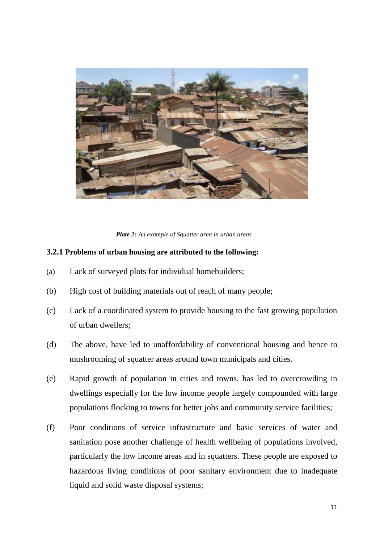

*Plate 2: An example of Squatter area in urban areas*

### **3.2.1 Problems of urban housing are attributed to the following:**

- (a) Lack of surveyed plots for individual homebuilders;
- (b) High cost of building materials out of reach of many people;
- (c) Lack of a coordinated system to provide housing to the fast growing population of urban dwellers;
- (d) The above, have led to unaffordability of conventional housing and hence to mushrooming of squatter areas around town municipals and cities.
- (e) Rapid growth of population in cities and towns, has led to overcrowding in dwellings especially for the low income people largely compounded with large populations flocking to towns for better jobs and community service facilities;
- (f) Poor conditions of service infrastructure and basic services of water and sanitation pose another challenge of health wellbeing of populations involved, particularly the low income areas and in squatters. These people are exposed to hazardous living conditions of poor sanitary environment due to inadequate liquid and solid waste disposal systems;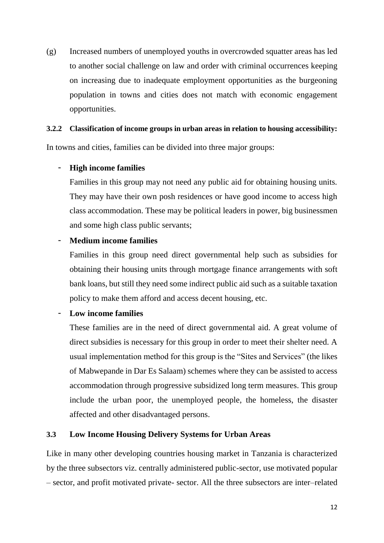(g) Increased numbers of unemployed youths in overcrowded squatter areas has led to another social challenge on law and order with criminal occurrences keeping on increasing due to inadequate employment opportunities as the burgeoning population in towns and cities does not match with economic engagement opportunities.

# **3.2.2 Classification of income groups in urban areas in relation to housing accessibility:**

In towns and cities, families can be divided into three major groups:

# - **High income families**

Families in this group may not need any public aid for obtaining housing units. They may have their own posh residences or have good income to access high class accommodation. These may be political leaders in power, big businessmen and some high class public servants;

# - **Medium income families**

Families in this group need direct governmental help such as subsidies for obtaining their housing units through mortgage finance arrangements with soft bank loans, but still they need some indirect public aid such as a suitable taxation policy to make them afford and access decent housing, etc.

# - **Low income families**

These families are in the need of direct governmental aid. A great volume of direct subsidies is necessary for this group in order to meet their shelter need. A usual implementation method for this group is the "Sites and Services" (the likes of Mabwepande in Dar Es Salaam) schemes where they can be assisted to access accommodation through progressive subsidized long term measures. This group include the urban poor, the unemployed people, the homeless, the disaster affected and other disadvantaged persons.

# **3.3 Low Income Housing Delivery Systems for Urban Areas**

Like in many other developing countries housing market in Tanzania is characterized by the three subsectors viz. centrally administered public-sector, use motivated popular – sector, and profit motivated private- sector. All the three subsectors are inter–related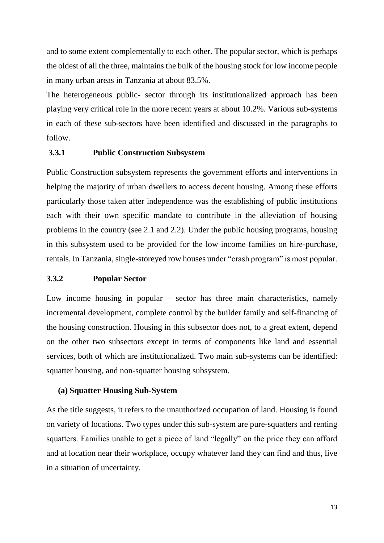and to some extent complementally to each other. The popular sector, which is perhaps the oldest of all the three, maintains the bulk of the housing stock for low income people in many urban areas in Tanzania at about 83.5%.

The heterogeneous public- sector through its institutionalized approach has been playing very critical role in the more recent years at about 10.2%. Various sub-systems in each of these sub-sectors have been identified and discussed in the paragraphs to follow.

# **3.3.1 Public Construction Subsystem**

Public Construction subsystem represents the government efforts and interventions in helping the majority of urban dwellers to access decent housing. Among these efforts particularly those taken after independence was the establishing of public institutions each with their own specific mandate to contribute in the alleviation of housing problems in the country (see 2.1 and 2.2). Under the public housing programs, housing in this subsystem used to be provided for the low income families on hire-purchase, rentals. In Tanzania, single-storeyed row houses under "crash program" is most popular.

# **3.3.2 Popular Sector**

Low income housing in popular – sector has three main characteristics, namely incremental development, complete control by the builder family and self-financing of the housing construction. Housing in this subsector does not, to a great extent, depend on the other two subsectors except in terms of components like land and essential services, both of which are institutionalized. Two main sub-systems can be identified: squatter housing, and non-squatter housing subsystem.

### **(a) Squatter Housing Sub-System**

As the title suggests, it refers to the unauthorized occupation of land. Housing is found on variety of locations. Two types under this sub-system are pure-squatters and renting squatters. Families unable to get a piece of land "legally" on the price they can afford and at location near their workplace, occupy whatever land they can find and thus, live in a situation of uncertainty.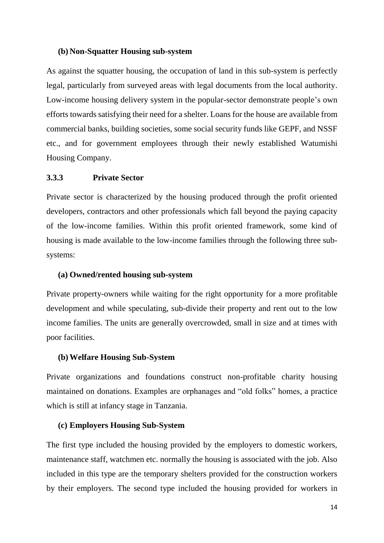## **(b) Non-Squatter Housing sub-system**

As against the squatter housing, the occupation of land in this sub-system is perfectly legal, particularly from surveyed areas with legal documents from the local authority. Low-income housing delivery system in the popular-sector demonstrate people's own efforts towards satisfying their need for a shelter. Loans for the house are available from commercial banks, building societies, some social security funds like GEPF, and NSSF etc., and for government employees through their newly established Watumishi Housing Company.

## **3.3.3 Private Sector**

Private sector is characterized by the housing produced through the profit oriented developers, contractors and other professionals which fall beyond the paying capacity of the low-income families. Within this profit oriented framework, some kind of housing is made available to the low-income families through the following three subsystems:

#### **(a) Owned/rented housing sub-system**

Private property-owners while waiting for the right opportunity for a more profitable development and while speculating, sub-divide their property and rent out to the low income families. The units are generally overcrowded, small in size and at times with poor facilities.

### **(b)Welfare Housing Sub-System**

Private organizations and foundations construct non-profitable charity housing maintained on donations. Examples are orphanages and "old folks" homes, a practice which is still at infancy stage in Tanzania.

### **(c) Employers Housing Sub-System**

The first type included the housing provided by the employers to domestic workers, maintenance staff, watchmen etc. normally the housing is associated with the job. Also included in this type are the temporary shelters provided for the construction workers by their employers. The second type included the housing provided for workers in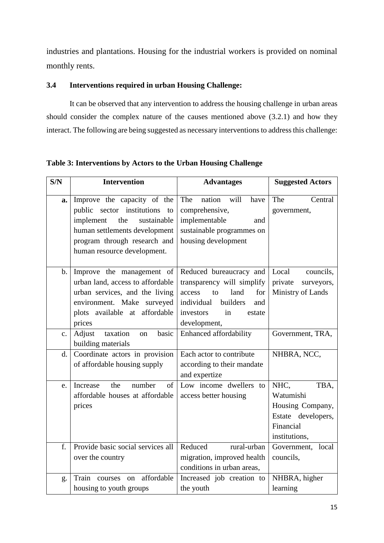industries and plantations. Housing for the industrial workers is provided on nominal monthly rents.

# **3.4 Interventions required in urban Housing Challenge:**

It can be observed that any intervention to address the housing challenge in urban areas should consider the complex nature of the causes mentioned above (3.2.1) and how they interact. The following are being suggested as necessary interventions to address this challenge:

| S/N | <b>Intervention</b>                                                                                                                                                                                | <b>Advantages</b>                                                                                                                                                  | <b>Suggested Actors</b>                                                                           |  |
|-----|----------------------------------------------------------------------------------------------------------------------------------------------------------------------------------------------------|--------------------------------------------------------------------------------------------------------------------------------------------------------------------|---------------------------------------------------------------------------------------------------|--|
| a.  | Improve the capacity of the<br>public sector institutions<br>to<br>implement<br>the<br>sustainable<br>human settlements development<br>program through research and<br>human resource development. | The<br>nation will<br>have<br>comprehensive,<br>implementable<br>and<br>sustainable programmes on<br>housing development                                           | The<br>Central<br>government,                                                                     |  |
| b.  | Improve the management of<br>urban land, access to affordable<br>urban services, and the living<br>environment. Make surveyed<br>plots available at affordable<br>prices                           | Reduced bureaucracy and<br>transparency will simplify<br>land<br>access<br>to<br>for<br>builders<br>individual<br>and<br>investors<br>in<br>estate<br>development, | Local<br>councils,<br>private<br>surveyors,<br>Ministry of Lands                                  |  |
| c.  | Adjust<br>basic<br>taxation<br><sub>on</sub><br>building materials                                                                                                                                 | <b>Enhanced affordability</b>                                                                                                                                      | Government, TRA,                                                                                  |  |
| d.  | Coordinate actors in provision<br>of affordable housing supply                                                                                                                                     | Each actor to contribute<br>according to their mandate<br>and expertize                                                                                            | NHBRA, NCC,                                                                                       |  |
| e.  | Increase<br>the<br>number<br>of<br>affordable houses at affordable<br>prices                                                                                                                       | Low income dwellers to<br>access better housing                                                                                                                    | NHC,<br>TBA,<br>Watumishi<br>Housing Company,<br>Estate developers,<br>Financial<br>institutions, |  |
| f.  | Provide basic social services all<br>over the country                                                                                                                                              | Reduced<br>rural-urban<br>migration, improved health<br>conditions in urban areas,                                                                                 | Government, local<br>councils,                                                                    |  |
| g.  | affordable<br>Train courses<br>on<br>housing to youth groups                                                                                                                                       | Increased job creation to<br>the youth                                                                                                                             | NHBRA, higher<br>learning                                                                         |  |

**Table 3: Interventions by Actors to the Urban Housing Challenge**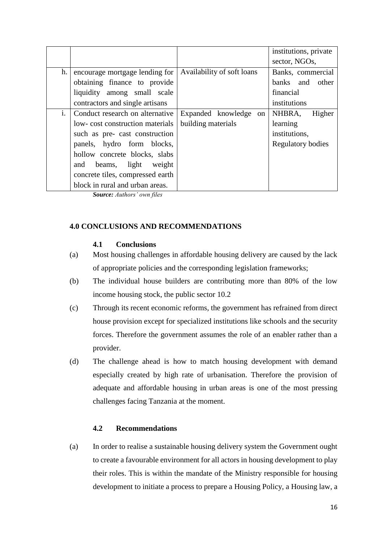|    |                                  |                            | institutions, private    |  |
|----|----------------------------------|----------------------------|--------------------------|--|
|    |                                  |                            | sector, NGOs,            |  |
| h. | encourage mortgage lending for   | Availability of soft loans | Banks, commercial        |  |
|    | obtaining finance to provide     |                            | banks and other          |  |
|    | liquidity among small scale      |                            | financial                |  |
|    | contractors and single artisans  |                            | institutions             |  |
| i. | Conduct research on alternative  | Expanded knowledge on      | NHBRA,<br>Higher         |  |
|    | low-cost construction materials  | building materials         | learning                 |  |
|    | such as pre- cast construction   |                            | institutions,            |  |
|    | panels, hydro form blocks,       |                            | <b>Regulatory bodies</b> |  |
|    | hollow concrete blocks, slabs    |                            |                          |  |
|    | beams, light weight<br>and       |                            |                          |  |
|    | concrete tiles, compressed earth |                            |                          |  |
|    | block in rural and urban areas.  |                            |                          |  |

*Source: Authors' own files*

### **4.0 CONCLUSIONS AND RECOMMENDATIONS**

### **4.1 Conclusions**

- (a) Most housing challenges in affordable housing delivery are caused by the lack of appropriate policies and the corresponding legislation frameworks;
- (b) The individual house builders are contributing more than 80% of the low income housing stock, the public sector 10.2
- (c) Through its recent economic reforms, the government has refrained from direct house provision except for specialized institutions like schools and the security forces. Therefore the government assumes the role of an enabler rather than a provider.
- (d) The challenge ahead is how to match housing development with demand especially created by high rate of urbanisation. Therefore the provision of adequate and affordable housing in urban areas is one of the most pressing challenges facing Tanzania at the moment.

## **4.2 Recommendations**

(a) In order to realise a sustainable housing delivery system the Government ought to create a favourable environment for all actors in housing development to play their roles. This is within the mandate of the Ministry responsible for housing development to initiate a process to prepare a Housing Policy, a Housing law, a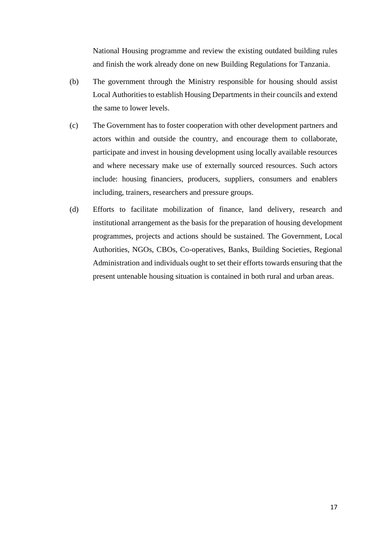National Housing programme and review the existing outdated building rules and finish the work already done on new Building Regulations for Tanzania.

- (b) The government through the Ministry responsible for housing should assist Local Authorities to establish Housing Departments in their councils and extend the same to lower levels.
- (c) The Government has to foster cooperation with other development partners and actors within and outside the country, and encourage them to collaborate, participate and invest in housing development using locally available resources and where necessary make use of externally sourced resources. Such actors include: housing financiers, producers, suppliers, consumers and enablers including, trainers, researchers and pressure groups.
- (d) Efforts to facilitate mobilization of finance, land delivery, research and institutional arrangement as the basis for the preparation of housing development programmes, projects and actions should be sustained. The Government, Local Authorities, NGOs, CBOs, Co-operatives, Banks, Building Societies, Regional Administration and individuals ought to set their efforts towards ensuring that the present untenable housing situation is contained in both rural and urban areas.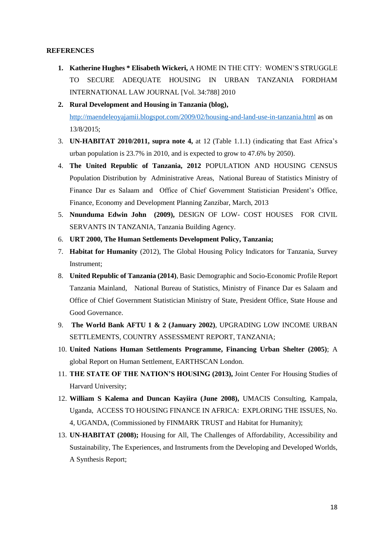#### **REFERENCES**

- **1. Katherine Hughes \* Elisabeth Wickeri,** A HOME IN THE CITY: WOMEN'S STRUGGLE TO SECURE ADEQUATE HOUSING IN URBAN TANZANIA FORDHAM INTERNATIONAL LAW JOURNAL [Vol. 34:788] 2010
- **2. Rural Development and Housing in Tanzania (blog),**  <http://maendeleoyajamii.blogspot.com/2009/02/housing-and-land-use-in-tanzania.html> as on 13/8/2015;
- 3. **UN-HABITAT 2010/2011, supra note 4,** at 12 (Table 1.1.1) (indicating that East Africa's urban population is 23.7% in 2010, and is expected to grow to 47.6% by 2050).
- 4. **The United Republic of Tanzania, 2012** POPULATION AND HOUSING CENSUS Population Distribution by Administrative Areas, National Bureau of Statistics Ministry of Finance Dar es Salaam and Office of Chief Government Statistician President's Office, Finance, Economy and Development Planning Zanzibar, March, 2013
- 5. **Nnunduma Edwin John (2009),** DESIGN OF LOW- COST HOUSES FOR CIVIL SERVANTS IN TANZANIA, Tanzania Building Agency.
- 6. **URT 2000, The Human Settlements Development Policy, Tanzania;**
- 7. **Habitat for Humanity** (2012), The Global Housing Policy Indicators for Tanzania, Survey Instrument;
- 8. **United Republic of Tanzania (2014)**, Basic Demographic and Socio-Economic Profile Report Tanzania Mainland, National Bureau of Statistics, Ministry of Finance Dar es Salaam and Office of Chief Government Statistician Ministry of State, President Office, State House and Good Governance.
- 9. **The World Bank AFTU 1 & 2 (January 2002)**, UPGRADING LOW INCOME URBAN SETTLEMENTS, COUNTRY ASSESSMENT REPORT, TANZANIA;
- 10. **United Nations Human Settlements Programme, Financing Urban Shelter (2005)**; A global Report on Human Settlement, EARTHSCAN London.
- 11. **THE STATE OF THE NATION'S HOUSING (2013),** Joint Center For Housing Studies of Harvard University;
- 12. **William S Kalema and Duncan Kayiira (June 2008),** UMACIS Consulting, Kampala, Uganda, ACCESS TO HOUSING FINANCE IN AFRICA: EXPLORING THE ISSUES, No. 4, UGANDA, (Commissioned by FINMARK TRUST and Habitat for Humanity);
- 13. **UN-HABITAT (2008);** Housing for All, The Challenges of Affordability, Accessibility and Sustainability, The Experiences, and Instruments from the Developing and Developed Worlds, A Synthesis Report;